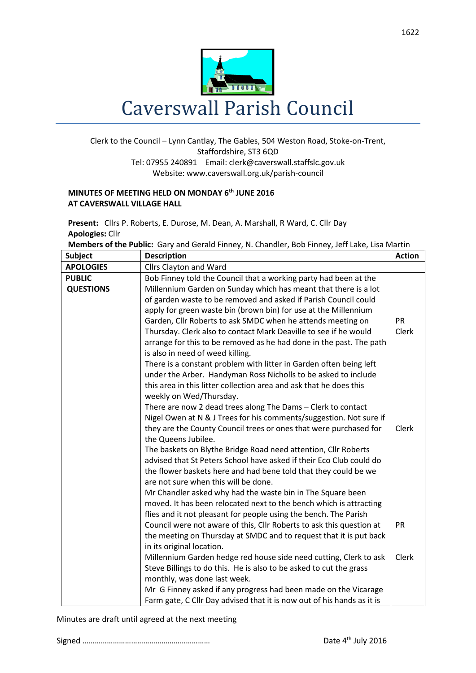

## Clerk to the Council – Lynn Cantlay, The Gables, 504 Weston Road, Stoke-on-Trent, Staffordshire, ST3 6QD Tel: 07955 240891 Email[: clerk@caverswall.staffslc.gov.uk](mailto:clerk@caverswall.staffslc.gov.uk) Website: www.caverswall.org.uk/parish-council

## **MINUTES OF MEETING HELD ON MONDAY 6 th JUNE 2016 AT CAVERSWALL VILLAGE HALL**

**Present:** Cllrs P. Roberts, E. Durose, M. Dean, A. Marshall, R Ward, C. Cllr Day **Apologies:** Cllr

**Members of the Public:** Gary and Gerald Finney, N. Chandler, Bob Finney, Jeff Lake, Lisa Martin

| <b>Subject</b>   | <b>Description</b>                                                     | <b>Action</b> |
|------------------|------------------------------------------------------------------------|---------------|
| <b>APOLOGIES</b> | Cllrs Clayton and Ward                                                 |               |
| <b>PUBLIC</b>    | Bob Finney told the Council that a working party had been at the       |               |
| <b>QUESTIONS</b> | Millennium Garden on Sunday which has meant that there is a lot        |               |
|                  | of garden waste to be removed and asked if Parish Council could        |               |
|                  | apply for green waste bin (brown bin) for use at the Millennium        |               |
|                  | Garden, Cllr Roberts to ask SMDC when he attends meeting on            | <b>PR</b>     |
|                  | Thursday. Clerk also to contact Mark Deaville to see if he would       | Clerk         |
|                  | arrange for this to be removed as he had done in the past. The path    |               |
|                  | is also in need of weed killing.                                       |               |
|                  | There is a constant problem with litter in Garden often being left     |               |
|                  | under the Arber. Handyman Ross Nicholls to be asked to include         |               |
|                  | this area in this litter collection area and ask that he does this     |               |
|                  | weekly on Wed/Thursday.                                                |               |
|                  | There are now 2 dead trees along The Dams - Clerk to contact           |               |
|                  | Nigel Owen at N & J Trees for his comments/suggestion. Not sure if     |               |
|                  | they are the County Council trees or ones that were purchased for      | <b>Clerk</b>  |
|                  | the Queens Jubilee.                                                    |               |
|                  | The baskets on Blythe Bridge Road need attention, Cllr Roberts         |               |
|                  | advised that St Peters School have asked if their Eco Club could do    |               |
|                  | the flower baskets here and had bene told that they could be we        |               |
|                  | are not sure when this will be done.                                   |               |
|                  | Mr Chandler asked why had the waste bin in The Square been             |               |
|                  | moved. It has been relocated next to the bench which is attracting     |               |
|                  | flies and it not pleasant for people using the bench. The Parish       |               |
|                  | Council were not aware of this, Cllr Roberts to ask this question at   | PR            |
|                  | the meeting on Thursday at SMDC and to request that it is put back     |               |
|                  | in its original location.                                              |               |
|                  | Millennium Garden hedge red house side need cutting, Clerk to ask      | Clerk         |
|                  | Steve Billings to do this. He is also to be asked to cut the grass     |               |
|                  | monthly, was done last week.                                           |               |
|                  | Mr G Finney asked if any progress had been made on the Vicarage        |               |
|                  | Farm gate, C Cllr Day advised that it is now out of his hands as it is |               |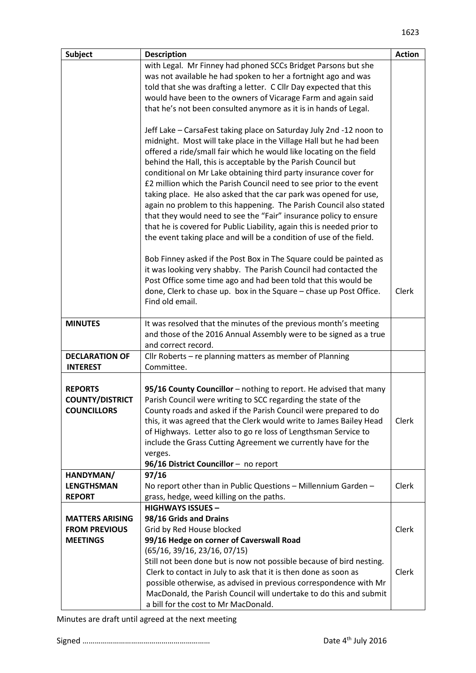| <b>Subject</b>         | <b>Description</b>                                                                                                                                                                                                                                                                                                                                                                                                                                                                                                                                                                                                                                                                                                                                                                           | <b>Action</b> |
|------------------------|----------------------------------------------------------------------------------------------------------------------------------------------------------------------------------------------------------------------------------------------------------------------------------------------------------------------------------------------------------------------------------------------------------------------------------------------------------------------------------------------------------------------------------------------------------------------------------------------------------------------------------------------------------------------------------------------------------------------------------------------------------------------------------------------|---------------|
|                        | with Legal. Mr Finney had phoned SCCs Bridget Parsons but she                                                                                                                                                                                                                                                                                                                                                                                                                                                                                                                                                                                                                                                                                                                                |               |
|                        | was not available he had spoken to her a fortnight ago and was                                                                                                                                                                                                                                                                                                                                                                                                                                                                                                                                                                                                                                                                                                                               |               |
|                        | told that she was drafting a letter. C Cllr Day expected that this                                                                                                                                                                                                                                                                                                                                                                                                                                                                                                                                                                                                                                                                                                                           |               |
|                        | would have been to the owners of Vicarage Farm and again said                                                                                                                                                                                                                                                                                                                                                                                                                                                                                                                                                                                                                                                                                                                                |               |
|                        | that he's not been consulted anymore as it is in hands of Legal.                                                                                                                                                                                                                                                                                                                                                                                                                                                                                                                                                                                                                                                                                                                             |               |
|                        | Jeff Lake - CarsaFest taking place on Saturday July 2nd -12 noon to<br>midnight. Most will take place in the Village Hall but he had been<br>offered a ride/small fair which he would like locating on the field<br>behind the Hall, this is acceptable by the Parish Council but<br>conditional on Mr Lake obtaining third party insurance cover for<br>£2 million which the Parish Council need to see prior to the event<br>taking place. He also asked that the car park was opened for use,<br>again no problem to this happening. The Parish Council also stated<br>that they would need to see the "Fair" insurance policy to ensure<br>that he is covered for Public Liability, again this is needed prior to<br>the event taking place and will be a condition of use of the field. |               |
|                        | Bob Finney asked if the Post Box in The Square could be painted as<br>it was looking very shabby. The Parish Council had contacted the<br>Post Office some time ago and had been told that this would be<br>done, Clerk to chase up. box in the Square - chase up Post Office.<br>Find old email.                                                                                                                                                                                                                                                                                                                                                                                                                                                                                            | Clerk         |
| <b>MINUTES</b>         | It was resolved that the minutes of the previous month's meeting                                                                                                                                                                                                                                                                                                                                                                                                                                                                                                                                                                                                                                                                                                                             |               |
|                        | and those of the 2016 Annual Assembly were to be signed as a true                                                                                                                                                                                                                                                                                                                                                                                                                                                                                                                                                                                                                                                                                                                            |               |
|                        | and correct record.                                                                                                                                                                                                                                                                                                                                                                                                                                                                                                                                                                                                                                                                                                                                                                          |               |
| <b>DECLARATION OF</b>  | Cllr Roberts - re planning matters as member of Planning                                                                                                                                                                                                                                                                                                                                                                                                                                                                                                                                                                                                                                                                                                                                     |               |
| <b>INTEREST</b>        | Committee.                                                                                                                                                                                                                                                                                                                                                                                                                                                                                                                                                                                                                                                                                                                                                                                   |               |
|                        |                                                                                                                                                                                                                                                                                                                                                                                                                                                                                                                                                                                                                                                                                                                                                                                              |               |
| <b>REPORTS</b>         | 95/16 County Councillor - nothing to report. He advised that many                                                                                                                                                                                                                                                                                                                                                                                                                                                                                                                                                                                                                                                                                                                            |               |
| <b>COUNTY/DISTRICT</b> | Parish Council were writing to SCC regarding the state of the                                                                                                                                                                                                                                                                                                                                                                                                                                                                                                                                                                                                                                                                                                                                |               |
| <b>COUNCILLORS</b>     | County roads and asked if the Parish Council were prepared to do                                                                                                                                                                                                                                                                                                                                                                                                                                                                                                                                                                                                                                                                                                                             |               |
|                        | this, it was agreed that the Clerk would write to James Bailey Head                                                                                                                                                                                                                                                                                                                                                                                                                                                                                                                                                                                                                                                                                                                          | Clerk         |
|                        | of Highways. Letter also to go re loss of Lengthsman Service to                                                                                                                                                                                                                                                                                                                                                                                                                                                                                                                                                                                                                                                                                                                              |               |
|                        | include the Grass Cutting Agreement we currently have for the                                                                                                                                                                                                                                                                                                                                                                                                                                                                                                                                                                                                                                                                                                                                |               |
|                        | verges.<br>96/16 District Councillor - no report                                                                                                                                                                                                                                                                                                                                                                                                                                                                                                                                                                                                                                                                                                                                             |               |
| HANDYMAN/              | 97/16                                                                                                                                                                                                                                                                                                                                                                                                                                                                                                                                                                                                                                                                                                                                                                                        |               |
| <b>LENGTHSMAN</b>      | No report other than in Public Questions - Millennium Garden -                                                                                                                                                                                                                                                                                                                                                                                                                                                                                                                                                                                                                                                                                                                               | Clerk         |
| <b>REPORT</b>          | grass, hedge, weed killing on the paths.                                                                                                                                                                                                                                                                                                                                                                                                                                                                                                                                                                                                                                                                                                                                                     |               |
|                        | <b>HIGHWAYS ISSUES -</b>                                                                                                                                                                                                                                                                                                                                                                                                                                                                                                                                                                                                                                                                                                                                                                     |               |
| <b>MATTERS ARISING</b> | 98/16 Grids and Drains                                                                                                                                                                                                                                                                                                                                                                                                                                                                                                                                                                                                                                                                                                                                                                       |               |
| <b>FROM PREVIOUS</b>   | Grid by Red House blocked                                                                                                                                                                                                                                                                                                                                                                                                                                                                                                                                                                                                                                                                                                                                                                    | Clerk         |
| <b>MEETINGS</b>        | 99/16 Hedge on corner of Caverswall Road                                                                                                                                                                                                                                                                                                                                                                                                                                                                                                                                                                                                                                                                                                                                                     |               |
|                        | (65/16, 39/16, 23/16, 07/15)                                                                                                                                                                                                                                                                                                                                                                                                                                                                                                                                                                                                                                                                                                                                                                 |               |
|                        | Still not been done but is now not possible because of bird nesting.                                                                                                                                                                                                                                                                                                                                                                                                                                                                                                                                                                                                                                                                                                                         |               |
|                        | Clerk to contact in July to ask that it is then done as soon as                                                                                                                                                                                                                                                                                                                                                                                                                                                                                                                                                                                                                                                                                                                              | Clerk         |
|                        | possible otherwise, as advised in previous correspondence with Mr                                                                                                                                                                                                                                                                                                                                                                                                                                                                                                                                                                                                                                                                                                                            |               |
|                        | MacDonald, the Parish Council will undertake to do this and submit                                                                                                                                                                                                                                                                                                                                                                                                                                                                                                                                                                                                                                                                                                                           |               |
|                        | a bill for the cost to Mr MacDonald.                                                                                                                                                                                                                                                                                                                                                                                                                                                                                                                                                                                                                                                                                                                                                         |               |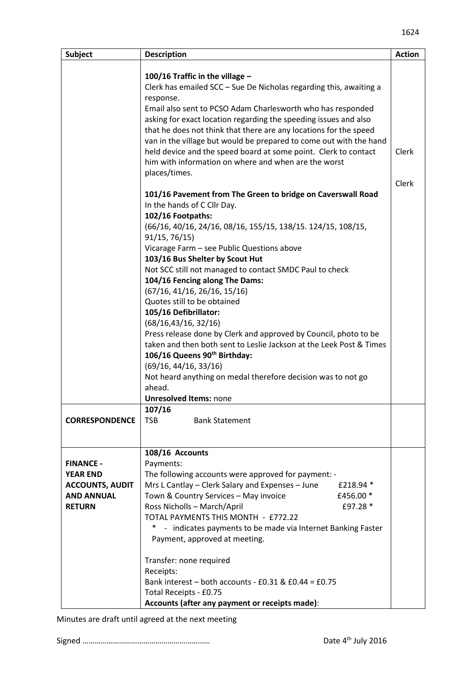| <b>Subject</b>         | <b>Description</b>                                                  | <b>Action</b> |
|------------------------|---------------------------------------------------------------------|---------------|
|                        |                                                                     |               |
|                        | 100/16 Traffic in the village -                                     |               |
|                        | Clerk has emailed SCC - Sue De Nicholas regarding this, awaiting a  |               |
|                        | response.                                                           |               |
|                        | Email also sent to PCSO Adam Charlesworth who has responded         |               |
|                        | asking for exact location regarding the speeding issues and also    |               |
|                        | that he does not think that there are any locations for the speed   |               |
|                        | van in the village but would be prepared to come out with the hand  |               |
|                        | held device and the speed board at some point. Clerk to contact     | Clerk         |
|                        | him with information on where and when are the worst                |               |
|                        | places/times.                                                       |               |
|                        |                                                                     | Clerk         |
|                        | 101/16 Pavement from The Green to bridge on Caverswall Road         |               |
|                        | In the hands of C Cllr Day.                                         |               |
|                        | 102/16 Footpaths:                                                   |               |
|                        | (66/16, 40/16, 24/16, 08/16, 155/15, 138/15. 124/15, 108/15,        |               |
|                        | 91/15, 76/15)                                                       |               |
|                        | Vicarage Farm - see Public Questions above                          |               |
|                        | 103/16 Bus Shelter by Scout Hut                                     |               |
|                        | Not SCC still not managed to contact SMDC Paul to check             |               |
|                        | 104/16 Fencing along The Dams:                                      |               |
|                        | (67/16, 41/16, 26/16, 15/16)                                        |               |
|                        | Quotes still to be obtained                                         |               |
|                        | 105/16 Defibrillator:                                               |               |
|                        | (68/16, 43/16, 32/16)                                               |               |
|                        | Press release done by Clerk and approved by Council, photo to be    |               |
|                        | taken and then both sent to Leslie Jackson at the Leek Post & Times |               |
|                        | 106/16 Queens 90th Birthday:                                        |               |
|                        | (69/16, 44/16, 33/16)                                               |               |
|                        | Not heard anything on medal therefore decision was to not go        |               |
|                        | ahead.                                                              |               |
|                        | <b>Unresolved Items: none</b>                                       |               |
|                        | 107/16                                                              |               |
| <b>CORRESPONDENCE</b>  | <b>TSB</b><br><b>Bank Statement</b>                                 |               |
|                        |                                                                     |               |
|                        |                                                                     |               |
|                        | 108/16 Accounts                                                     |               |
| <b>FINANCE -</b>       | Payments:                                                           |               |
| <b>YEAR END</b>        | The following accounts were approved for payment: -                 |               |
| <b>ACCOUNTS, AUDIT</b> | Mrs L Cantlay - Clerk Salary and Expenses - June<br>£218.94 *       |               |
| <b>AND ANNUAL</b>      | Town & Country Services - May invoice<br>£456.00 *                  |               |
| <b>RETURN</b>          | Ross Nicholls - March/April<br>£97.28 *                             |               |
|                        | TOTAL PAYMENTS THIS MONTH - £772.22                                 |               |
|                        | - indicates payments to be made via Internet Banking Faster         |               |
|                        | Payment, approved at meeting.                                       |               |
|                        | Transfer: none required                                             |               |
|                        | Receipts:                                                           |               |
|                        | Bank interest - both accounts - £0.31 & $£0.44 = £0.75$             |               |
|                        | Total Receipts - £0.75                                              |               |
|                        | Accounts (after any payment or receipts made):                      |               |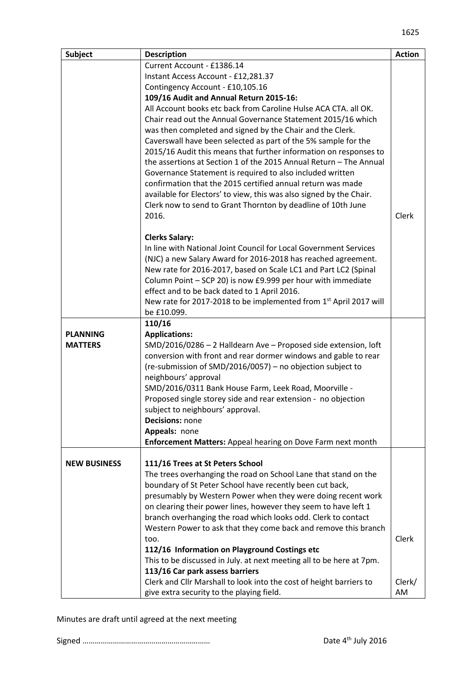| Subject             | <b>Description</b>                                                                                                                                                                                                                                                                                                                                                                                                                                                                                                                    | <b>Action</b> |
|---------------------|---------------------------------------------------------------------------------------------------------------------------------------------------------------------------------------------------------------------------------------------------------------------------------------------------------------------------------------------------------------------------------------------------------------------------------------------------------------------------------------------------------------------------------------|---------------|
|                     | Current Account - £1386.14                                                                                                                                                                                                                                                                                                                                                                                                                                                                                                            |               |
|                     | Instant Access Account - £12,281.37                                                                                                                                                                                                                                                                                                                                                                                                                                                                                                   |               |
|                     | Contingency Account - £10,105.16                                                                                                                                                                                                                                                                                                                                                                                                                                                                                                      |               |
|                     | 109/16 Audit and Annual Return 2015-16:                                                                                                                                                                                                                                                                                                                                                                                                                                                                                               |               |
|                     | All Account books etc back from Caroline Hulse ACA CTA. all OK.<br>Chair read out the Annual Governance Statement 2015/16 which<br>was then completed and signed by the Chair and the Clerk.<br>Caverswall have been selected as part of the 5% sample for the<br>2015/16 Audit this means that further information on responses to<br>the assertions at Section 1 of the 2015 Annual Return - The Annual<br>Governance Statement is required to also included written<br>confirmation that the 2015 certified annual return was made |               |
|                     | available for Electors' to view, this was also signed by the Chair.                                                                                                                                                                                                                                                                                                                                                                                                                                                                   |               |
|                     | Clerk now to send to Grant Thornton by deadline of 10th June                                                                                                                                                                                                                                                                                                                                                                                                                                                                          |               |
|                     | 2016.                                                                                                                                                                                                                                                                                                                                                                                                                                                                                                                                 | Clerk         |
|                     |                                                                                                                                                                                                                                                                                                                                                                                                                                                                                                                                       |               |
|                     | <b>Clerks Salary:</b>                                                                                                                                                                                                                                                                                                                                                                                                                                                                                                                 |               |
|                     | In line with National Joint Council for Local Government Services<br>(NJC) a new Salary Award for 2016-2018 has reached agreement.<br>New rate for 2016-2017, based on Scale LC1 and Part LC2 (Spinal<br>Column Point - SCP 20) is now £9.999 per hour with immediate<br>effect and to be back dated to 1 April 2016.<br>New rate for 2017-2018 to be implemented from 1 <sup>st</sup> April 2017 will                                                                                                                                |               |
|                     | be £10.099.                                                                                                                                                                                                                                                                                                                                                                                                                                                                                                                           |               |
|                     | 110/16                                                                                                                                                                                                                                                                                                                                                                                                                                                                                                                                |               |
| <b>PLANNING</b>     | <b>Applications:</b>                                                                                                                                                                                                                                                                                                                                                                                                                                                                                                                  |               |
| <b>MATTERS</b>      | SMD/2016/0286 - 2 Halldearn Ave - Proposed side extension, loft<br>conversion with front and rear dormer windows and gable to rear<br>(re-submission of SMD/2016/0057) – no objection subject to<br>neighbours' approval<br>SMD/2016/0311 Bank House Farm, Leek Road, Moorville -<br>Proposed single storey side and rear extension - no objection<br>subject to neighbours' approval.<br><b>Decisions: none</b>                                                                                                                      |               |
|                     | Appeals: none                                                                                                                                                                                                                                                                                                                                                                                                                                                                                                                         |               |
|                     | Enforcement Matters: Appeal hearing on Dove Farm next month                                                                                                                                                                                                                                                                                                                                                                                                                                                                           |               |
| <b>NEW BUSINESS</b> | 111/16 Trees at St Peters School<br>The trees overhanging the road on School Lane that stand on the<br>boundary of St Peter School have recently been cut back,<br>presumably by Western Power when they were doing recent work<br>on clearing their power lines, however they seem to have left 1<br>branch overhanging the road which looks odd. Clerk to contact<br>Western Power to ask that they come back and remove this branch<br>too.                                                                                        | Clerk         |
|                     | 112/16 Information on Playground Costings etc<br>This to be discussed in July. at next meeting all to be here at 7pm.<br>113/16 Car park assess barriers                                                                                                                                                                                                                                                                                                                                                                              |               |
|                     | Clerk and Cllr Marshall to look into the cost of height barriers to<br>give extra security to the playing field.                                                                                                                                                                                                                                                                                                                                                                                                                      | Clerk/<br>AM  |